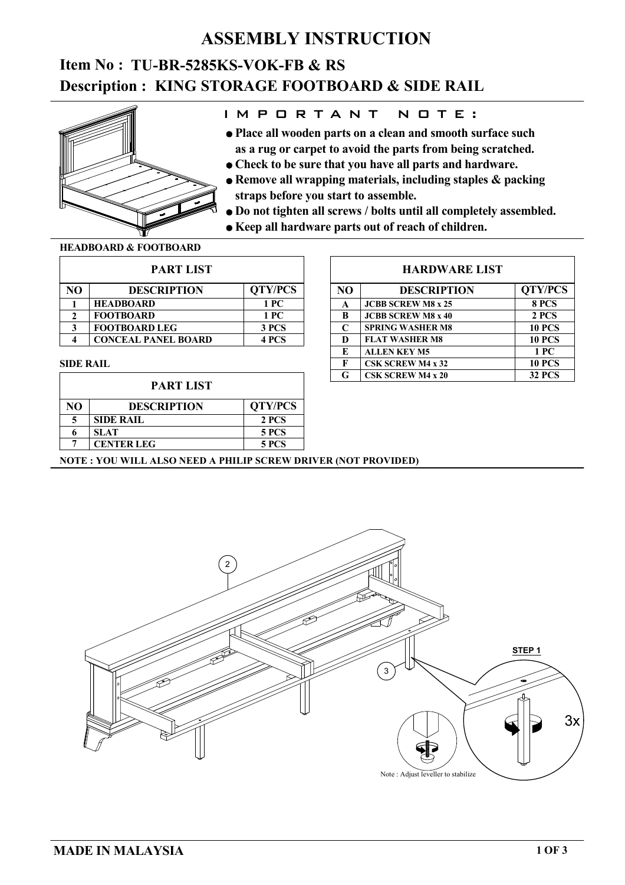### **ASSEMBLY INSTRUCTION**

# **Description : KING STORAGE FOOTBOARD & SIDE RAIL Item No : TU-BR-5285KS-VOK-FB & RS**



### I M P O R T A N T N O T E :

- **as a rug or carpet to avoid the parts from being scratched. Place all wooden parts on a clean and smooth surface such**
- **Check to be sure that you have all parts and hardware.**
- **straps before you start to assemble. Remove all wrapping materials, including staples & packing**
- **Do not tighten all screws / bolts until all completely assembled.**
- **Keep all hardware parts out of reach of children.**

#### **HEADBOARD & FOOTBOARD**

| <b>PART LIST</b> |                            |                |  |  |
|------------------|----------------------------|----------------|--|--|
| NΟ               | <b>DESCRIPTION</b>         | <b>QTY/PCS</b> |  |  |
|                  | <b>HEADBOARD</b>           | 1 PC           |  |  |
| 2                | <b>FOOTBOARD</b>           | 1 PC           |  |  |
| 3                | <b>FOOTBOARD LEG</b>       | 3 PCS          |  |  |
|                  | <b>CONCEAL PANEL BOARD</b> | 4 PCS          |  |  |

#### **SIDE RAIL**

| <b>PART LIST</b> |                    |                |  |  |
|------------------|--------------------|----------------|--|--|
| NΟ               | <b>DESCRIPTION</b> | <b>QTY/PCS</b> |  |  |
|                  | <b>SIDE RAIL</b>   | 2 PCS          |  |  |
|                  | <b>SLAT</b>        | 5 PCS          |  |  |
|                  | <b>CENTER LEG</b>  | <b>5 PCS</b>   |  |  |

#### **HARDWARE LIST**

| N <sub>O</sub> | <b>DESCRIPTION</b>        | <b>QTY/PCS</b> |  |
|----------------|---------------------------|----------------|--|
| A              | <b>JCBB SCREW M8 x 25</b> | 8 PCS          |  |
| B              | <b>JCBB SCREW M8 x 40</b> | 2 PCS          |  |
| C              | <b>SPRING WASHER M8</b>   | <b>10 PCS</b>  |  |
| D              | <b>FLAT WASHER M8</b>     | <b>10 PCS</b>  |  |
| E              | <b>ALLEN KEY M5</b>       | 1 PC           |  |
| F              | <b>CSK SCREW M4 x 32</b>  | <b>10 PCS</b>  |  |
| G              | <b>CSK SCREW M4 x 20</b>  | <b>32 PCS</b>  |  |

### **NOTE : YOU WILL ALSO NEED A PHILIP SCREW DRIVER (NOT PROVIDED)**

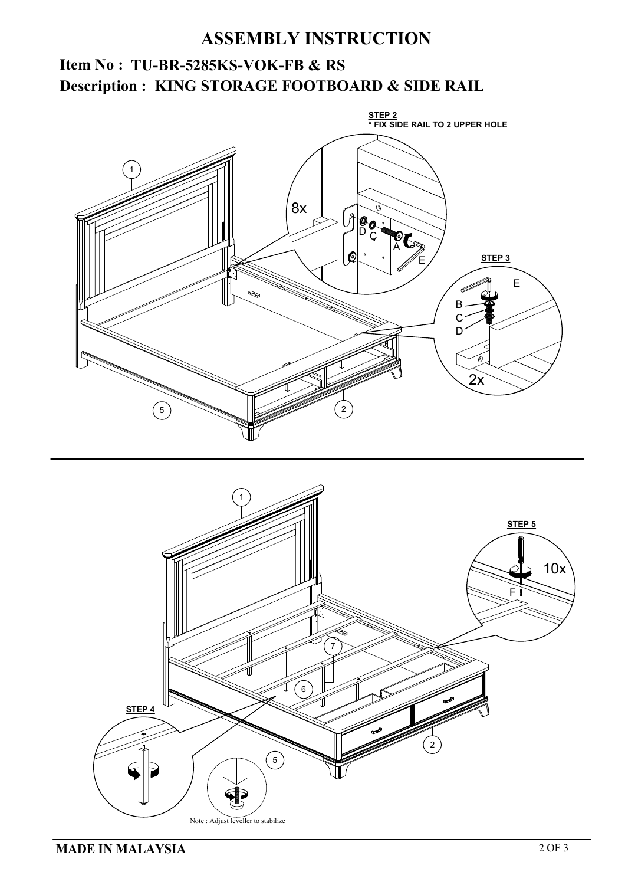## **ASSEMBLY INSTRUCTION**

# **KING STORAGE FOOTBOARD & SIDE RAIL Description : Item No : TU-BR-5285KS-VOK-FB & RS**